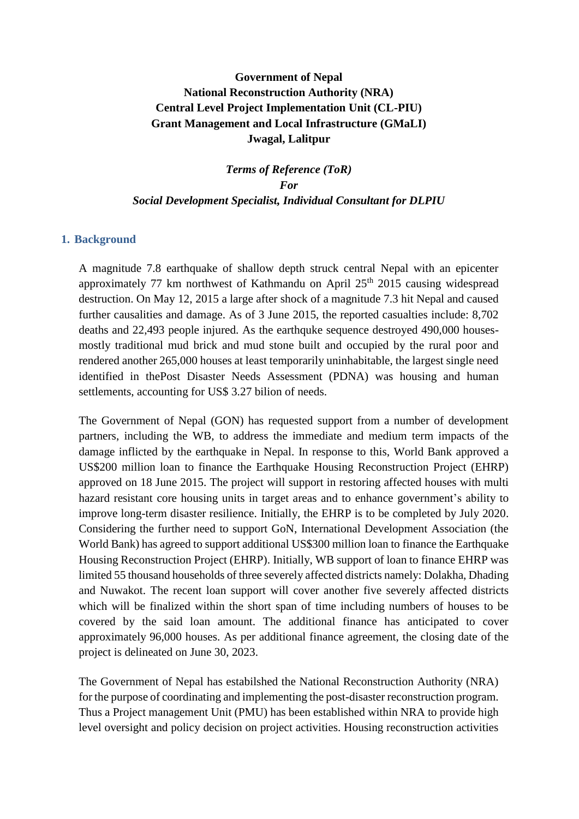# **Government of Nepal National Reconstruction Authority (NRA) Central Level Project Implementation Unit (CL-PIU) Grant Management and Local Infrastructure (GMaLI) Jwagal, Lalitpur**

*Terms of Reference (ToR) For Social Development Specialist, Individual Consultant for DLPIU*

# **1. Background**

A magnitude 7.8 earthquake of shallow depth struck central Nepal with an epicenter approximately 77 km northwest of Kathmandu on April  $25<sup>th</sup>$  2015 causing widespread destruction. On May 12, 2015 a large after shock of a magnitude 7.3 hit Nepal and caused further causalities and damage. As of 3 June 2015, the reported casualties include: 8,702 deaths and 22,493 people injured. As the earthquke sequence destroyed 490,000 housesmostly traditional mud brick and mud stone built and occupied by the rural poor and rendered another 265,000 houses at least temporarily uninhabitable, the largest single need identified in thePost Disaster Needs Assessment (PDNA) was housing and human settlements, accounting for US\$ 3.27 bilion of needs.

The Government of Nepal (GON) has requested support from a number of development partners, including the WB, to address the immediate and medium term impacts of the damage inflicted by the earthquake in Nepal. In response to this, World Bank approved a US\$200 million loan to finance the Earthquake Housing Reconstruction Project (EHRP) approved on 18 June 2015. The project will support in restoring affected houses with multi hazard resistant core housing units in target areas and to enhance government's ability to improve long-term disaster resilience. Initially, the EHRP is to be completed by July 2020. Considering the further need to support GoN, International Development Association (the World Bank) has agreed to support additional US\$300 million loan to finance the Earthquake Housing Reconstruction Project (EHRP). Initially, WB support of loan to finance EHRP was limited 55 thousand households of three severely affected districts namely: Dolakha, Dhading and Nuwakot. The recent loan support will cover another five severely affected districts which will be finalized within the short span of time including numbers of houses to be covered by the said loan amount. The additional finance has anticipated to cover approximately 96,000 houses. As per additional finance agreement, the closing date of the project is delineated on June 30, 2023.

The Government of Nepal has estabilshed the National Reconstruction Authority (NRA) for the purpose of coordinating and implementing the post-disaster reconstruction program. Thus a Project management Unit (PMU) has been established within NRA to provide high level oversight and policy decision on project activities. Housing reconstruction activities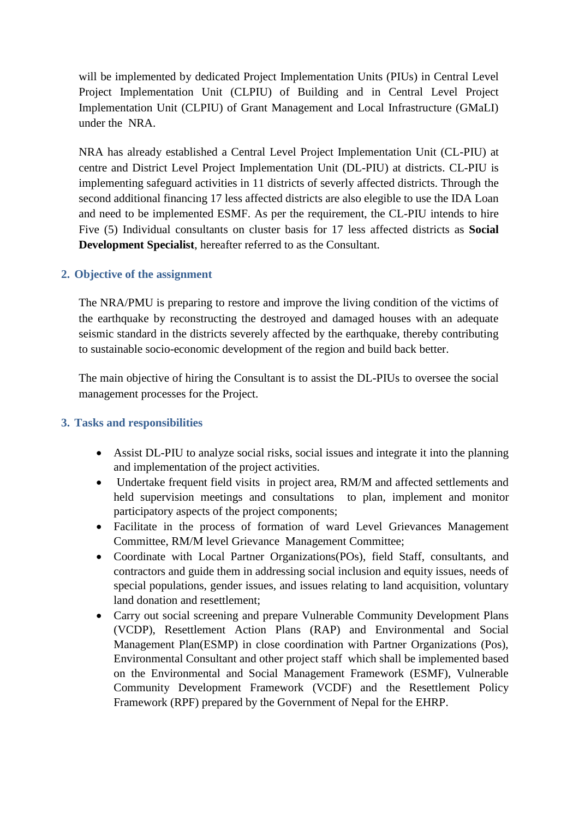will be implemented by dedicated Project Implementation Units (PIUs) in Central Level Project Implementation Unit (CLPIU) of Building and in Central Level Project Implementation Unit (CLPIU) of Grant Management and Local Infrastructure (GMaLI) under the NRA.

NRA has already established a Central Level Project Implementation Unit (CL-PIU) at centre and District Level Project Implementation Unit (DL-PIU) at districts. CL-PIU is implementing safeguard activities in 11 districts of severly affected districts. Through the second additional financing 17 less affected districts are also elegible to use the IDA Loan and need to be implemented ESMF. As per the requirement, the CL-PIU intends to hire Five (5) Individual consultants on cluster basis for 17 less affected districts as **Social Development Specialist**, hereafter referred to as the Consultant.

#### **2. Objective of the assignment**

The NRA/PMU is preparing to restore and improve the living condition of the victims of the earthquake by reconstructing the destroyed and damaged houses with an adequate seismic standard in the districts severely affected by the earthquake, thereby contributing to sustainable socio-economic development of the region and build back better.

The main objective of hiring the Consultant is to assist the DL-PIUs to oversee the social management processes for the Project.

#### **3. Tasks and responsibilities**

- Assist DL-PIU to analyze social risks, social issues and integrate it into the planning and implementation of the project activities.
- Undertake frequent field visits in project area, RM/M and affected settlements and held supervision meetings and consultations to plan, implement and monitor participatory aspects of the project components;
- Facilitate in the process of formation of ward Level Grievances Management Committee, RM/M level Grievance Management Committee;
- Coordinate with Local Partner Organizations(POs), field Staff, consultants, and contractors and guide them in addressing social inclusion and equity issues, needs of special populations, gender issues, and issues relating to land acquisition, voluntary land donation and resettlement;
- Carry out social screening and prepare Vulnerable Community Development Plans (VCDP), Resettlement Action Plans (RAP) and Environmental and Social Management Plan(ESMP) in close coordination with Partner Organizations (Pos), Environmental Consultant and other project staff which shall be implemented based on the Environmental and Social Management Framework (ESMF), Vulnerable Community Development Framework (VCDF) and the Resettlement Policy Framework (RPF) prepared by the Government of Nepal for the EHRP.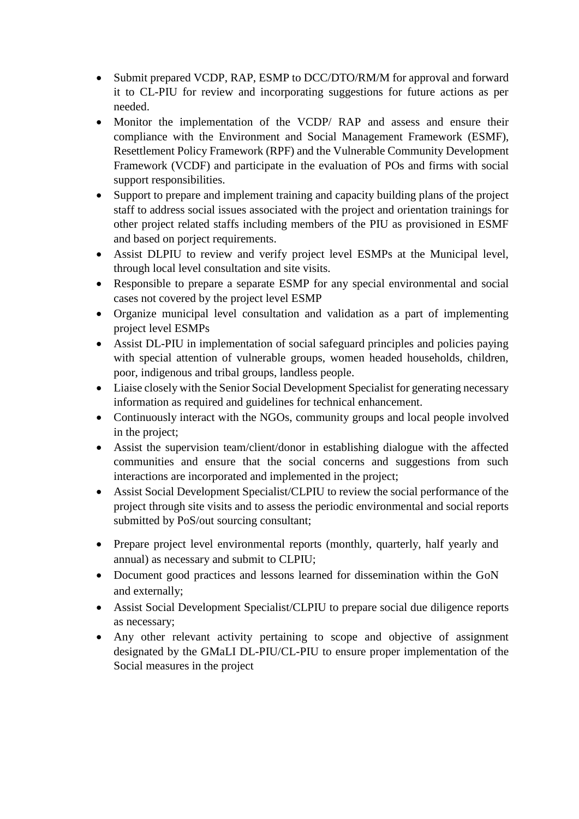- Submit prepared VCDP, RAP, ESMP to DCC/DTO/RM/M for approval and forward it to CL-PIU for review and incorporating suggestions for future actions as per needed.
- Monitor the implementation of the VCDP/ RAP and assess and ensure their compliance with the Environment and Social Management Framework (ESMF), Resettlement Policy Framework (RPF) and the Vulnerable Community Development Framework (VCDF) and participate in the evaluation of POs and firms with social support responsibilities.
- Support to prepare and implement training and capacity building plans of the project staff to address social issues associated with the project and orientation trainings for other project related staffs including members of the PIU as provisioned in ESMF and based on porject requirements.
- Assist DLPIU to review and verify project level ESMPs at the Municipal level, through local level consultation and site visits.
- Responsible to prepare a separate ESMP for any special environmental and social cases not covered by the project level ESMP
- Organize municipal level consultation and validation as a part of implementing project level ESMPs
- Assist DL-PIU in implementation of social safeguard principles and policies paying with special attention of vulnerable groups, women headed households, children, poor, indigenous and tribal groups, landless people.
- Liaise closely with the Senior Social Development Specialist for generating necessary information as required and guidelines for technical enhancement.
- Continuously interact with the NGOs, community groups and local people involved in the project;
- Assist the supervision team/client/donor in establishing dialogue with the affected communities and ensure that the social concerns and suggestions from such interactions are incorporated and implemented in the project;
- Assist Social Development Specialist/CLPIU to review the social performance of the project through site visits and to assess the periodic environmental and social reports submitted by PoS/out sourcing consultant;
- Prepare project level environmental reports (monthly, quarterly, half yearly and annual) as necessary and submit to CLPIU;
- Document good practices and lessons learned for dissemination within the GoN and externally;
- Assist Social Development Specialist/CLPIU to prepare social due diligence reports as necessary;
- Any other relevant activity pertaining to scope and objective of assignment designated by the GMaLI DL-PIU/CL-PIU to ensure proper implementation of the Social measures in the project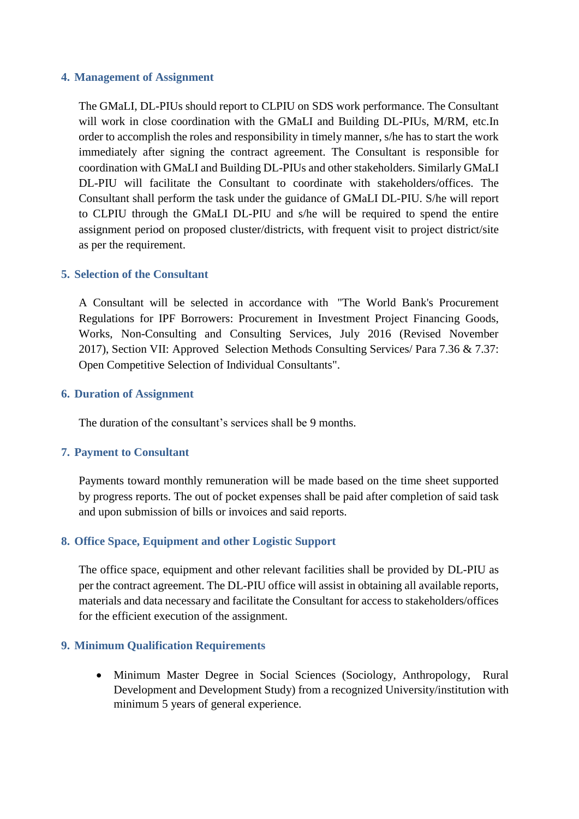#### **4. Management of Assignment**

The GMaLI, DL-PIUs should report to CLPIU on SDS work performance. The Consultant will work in close coordination with the GMaLI and Building DL-PIUs, M/RM, etc.In order to accomplish the roles and responsibility in timely manner, s/he has to start the work immediately after signing the contract agreement. The Consultant is responsible for coordination with GMaLI and Building DL-PIUs and other stakeholders. Similarly GMaLI DL-PIU will facilitate the Consultant to coordinate with stakeholders/offices. The Consultant shall perform the task under the guidance of GMaLI DL-PIU. S/he will report to CLPIU through the GMaLI DL-PIU and s/he will be required to spend the entire assignment period on proposed cluster/districts, with frequent visit to project district/site as per the requirement.

#### **5. Selection of the Consultant**

A Consultant will be selected in accordance with "The World Bank's Procurement Regulations for IPF Borrowers: Procurement in Investment Project Financing Goods, Works, Non-Consulting and Consulting Services, July 2016 (Revised November 2017), Section VII: Approved Selection Methods Consulting Services/ Para 7.36 & 7.37: Open Competitive Selection of Individual Consultants".

#### **6. Duration of Assignment**

The duration of the consultant's services shall be 9 months.

# **7. Payment to Consultant**

Payments toward monthly remuneration will be made based on the time sheet supported by progress reports. The out of pocket expenses shall be paid after completion of said task and upon submission of bills or invoices and said reports.

# **8. Office Space, Equipment and other Logistic Support**

The office space, equipment and other relevant facilities shall be provided by DL-PIU as per the contract agreement. The DL-PIU office will assist in obtaining all available reports, materials and data necessary and facilitate the Consultant for access to stakeholders/offices for the efficient execution of the assignment.

# **9. Minimum Qualification Requirements**

• Minimum Master Degree in Social Sciences (Sociology, Anthropology, Rural Development and Development Study) from a recognized University/institution with minimum 5 years of general experience.